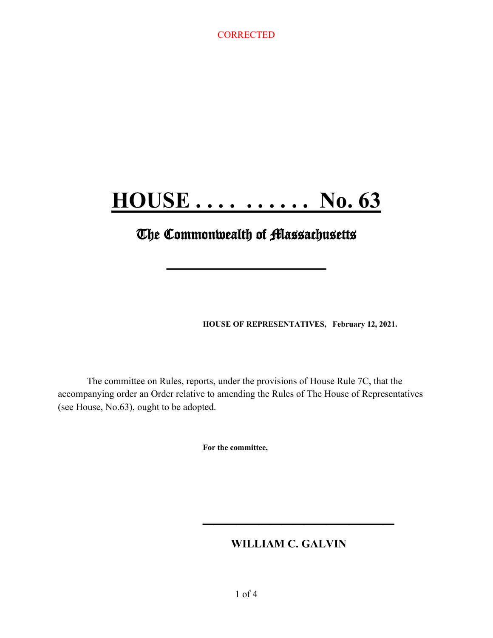# **HOUSE . . . . . . . . . . No. 63**

## **The Commonwealth of Massachusetts**

**\_\_\_\_\_\_\_\_\_\_\_\_\_\_\_\_\_\_\_\_\_\_**

**HOUSE OF REPRESENTATIVES, February 12, 2021.**

The committee on Rules, reports, under the provisions of House Rule 7C, that the accompanying order an Order relative to amending the Rules of The House of Representatives (see House, No.63), ought to be adopted.

**For the committee,**

## **WILLIAM C. GALVIN**

**\_\_\_\_\_\_\_\_\_\_\_\_\_\_\_\_\_**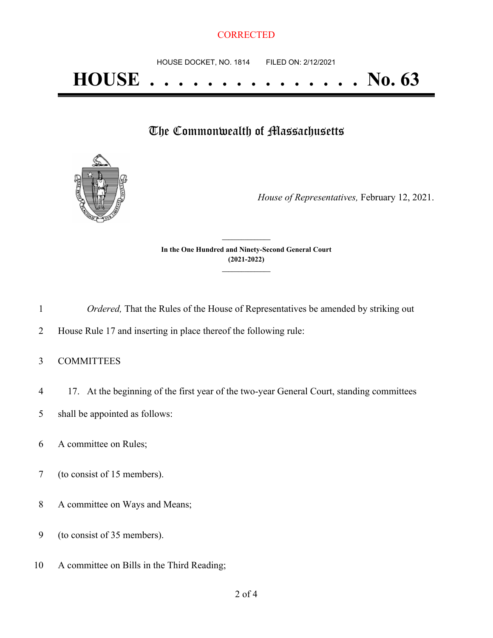## The Commonwealth of Massachusetts



*House of Representatives,* February 12, 2021.

**In the One Hundred and Ninety-Second General Court (2021-2022) \_\_\_\_\_\_\_\_\_\_\_\_\_\_\_**

**\_\_\_\_\_\_\_\_\_\_\_\_\_\_\_**

1 *Ordered,* That the Rules of the House of Representatives be amended by striking out

2 House Rule 17 and inserting in place thereof the following rule:

- 3 COMMITTEES
- 4 17. At the beginning of the first year of the two-year General Court, standing committees
- 5 shall be appointed as follows:
- 6 A committee on Rules;
- 7 (to consist of 15 members).
- 8 A committee on Ways and Means;
- 9 (to consist of 35 members).
- 10 A committee on Bills in the Third Reading;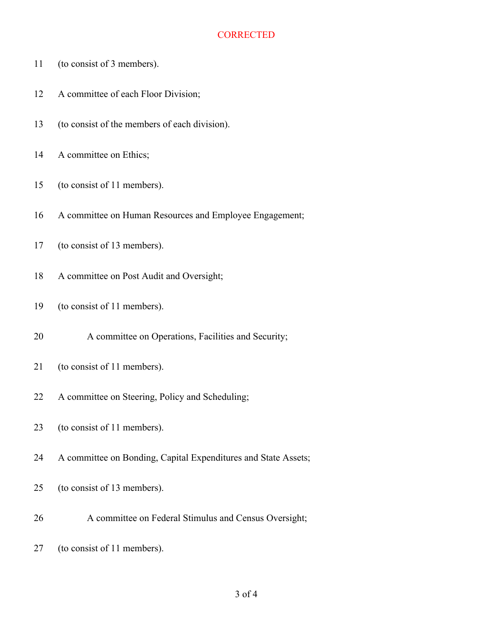- (to consist of 3 members).
- 12 A committee of each Floor Division;
- (to consist of the members of each division).
- 14 A committee on Ethics;
- (to consist of 11 members).
- A committee on Human Resources and Employee Engagement;
- (to consist of 13 members).
- A committee on Post Audit and Oversight;
- (to consist of 11 members).
- A committee on Operations, Facilities and Security;
- (to consist of 11 members).
- A committee on Steering, Policy and Scheduling;
- (to consist of 11 members).
- A committee on Bonding, Capital Expenditures and State Assets;
- (to consist of 13 members).
- A committee on Federal Stimulus and Census Oversight;
- (to consist of 11 members).